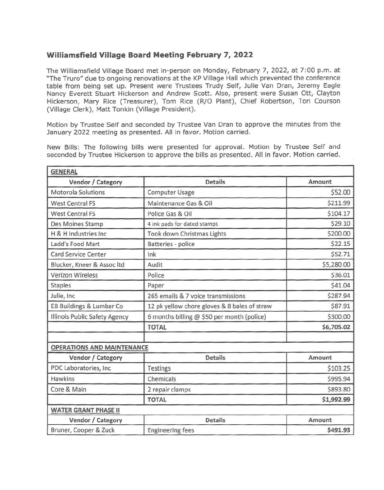## **Williamsfield Village Board Meeting February 7, 2022**

The Williamsfield Village Board met in-person on Monday, February 7, 2022, at 7 :00 p.m. at "The Truro" due to ongoing renovations at the KP Village Hall which prevented the conference table from being set up. Present were Trustees Trudy Self, Julie Van Oran, Jeremy Eagle Nancy Everett Stuart Hickerson and Andrew Scott. Also, present were Susan Ott, Clayton Hickerson, Mary Rice (Treasurer), Tom Rice (R/0 Plant), Chief Robertson, Tori Courson (Village Clerk), Matt Tonkin (Village President).

Motion by Trustee Self and seconded by Trustee Van Oran to approve the minutes from the January 2022 meeting as presented. All in favor. Motion carried.

New Bills: The following bills were presented for approval. Motion by Trustee Self and seconded by Trustee Hickerson to approve the bills as presented. All in favor. Motion carried.

| <b>GENERAL</b>                       |                                              |            |
|--------------------------------------|----------------------------------------------|------------|
| Vendor / Category                    | <b>Details</b>                               | Amount     |
| Motorola Solutions                   | Computer Usage                               | \$52.00    |
| <b>West Central FS</b>               | Maintenance Gas & Oil                        | \$211.99   |
| <b>West Central FS</b>               | Police Gas & Oil                             | \$104.17   |
| Des Moines Stamp                     | 4 ink pads for dated stamps                  | \$29.10    |
| H & H Industries Inc.                | Took down Christmas Lights                   | \$200.00   |
| Ladd's Food Mart                     | Batteries - police                           | \$22.15    |
| <b>Card Service Center</b>           | Ink                                          | \$52.71    |
| Blucker, Kneer & Assoc Itd           | Audit                                        | \$5,280.00 |
| <b>Verizon Wireless</b>              | Police                                       | \$36.01    |
| <b>Staples</b>                       | Paper                                        | \$41.04    |
| Julie, Inc                           | 265 emails & 7 voice transmissions           | \$287.94   |
| EB Buildings & Lumbar Co             | 12 pk yellow chore gloves & 8 bales of straw | \$87.91    |
| <b>Illinois Public Safety Agency</b> | 6 months billing @ \$50 per month (police)   | \$300.00   |
|                                      | <b>TOTAL</b>                                 | \$6,705.02 |
| <b>OPERATIONS AND MAINTENANCE</b>    |                                              |            |
| Vendor / Category                    | <b>Details</b>                               | Amount     |
| PDC Laboratories, Inc                | Testings                                     | \$103.25   |
| <b>Hawkins</b>                       | Chemicals                                    | \$995.94   |
| Core & Main                          | 2 repair clamps                              | \$893.80   |
|                                      | <b>TOTAL</b>                                 | \$1,992.99 |
| <b>WATER GRANT PHASE II</b>          |                                              |            |
| Vendor / Category                    | <b>Details</b>                               | Amount     |
| Bruner, Cooper & Zuck                | <b>Engineering fees</b>                      | \$491.93   |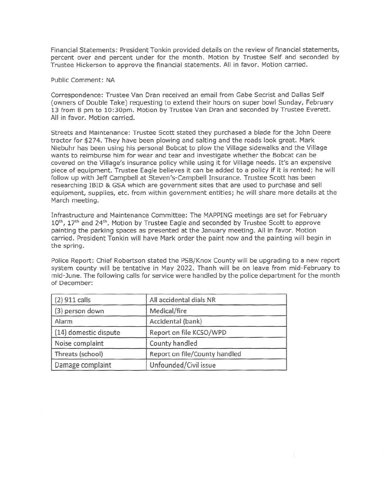Financial Statements: President Tonkin provided details on the review of financial statements, percent over and percent under for the month. Motion by Trustee Self and seconded by Trustee Hickerson to approve the financial statements. All in favor. Motion carried.

Public Comment: NA

Correspondence: Trustee Van Oran received an email from Gabe Secrist and Dallas Self (owners of Double Take) requesting to extend their hours on super bowl Sunday, February 13 from 8 pm to 10:30pm. Motion by Trustee Van Oran and seconded by Trustee Everett. All in favor. Motion carried.

Streets and Maintenance: Trustee Scott stated they purchased a blade for the John Deere tractor for \$274. They have been plowing and salting and the roads look great. Mark Niebuhr has been using his personal Bobcat to plow the Village sidewalks and the Village wants to reimburse him for wear and tear and investigate whether the Bobcat can be covered on the Village's insurance policy while using it for Village needs. It's an expensive piece of equipment. Trustee Eagle believes it can be added to a policy if it is rented; he will follow up with Jeff Campbell at Steven's-Campbell Insurance. Trustee Scott has been researching IBID & GSA which are government sites that are used to purchase and sell equipment, supplies, etc. from within government entities; he will share more details at the March meeting.

Infrastructure and Maintenance Committee: The MAPPING meetings are set for February 10<sup>th</sup>, 17<sup>th</sup> and 24<sup>th</sup>. Motion by Trustee Eagle and seconded by Trustee Scott to approve painting the parking spaces as presented at the January meeting. All in favor. Motion carried. President Tonkin will have Mark order the paint now and the painting will begin in the spring.

Police Report: Chief Robertson stated the PSB/Knox County will be upgrading to a new report system county will be tentative in May 2022. Thanh will be on leave from mid-February to mid-June. The following calls for service were handled by the police department for the month of December:

| $(2)$ 911 calls       | All accidental dials NR       |  |
|-----------------------|-------------------------------|--|
| (3) person down       | Medical/fire                  |  |
| Alarm                 | Accidental (bank)             |  |
| (14) domestic dispute | Report on file KCSO/WPD       |  |
| Noise complaint       | County handled                |  |
| Threats (school)      | Report on file/County handled |  |
| Damage complaint      | Unfounded/Civil issue         |  |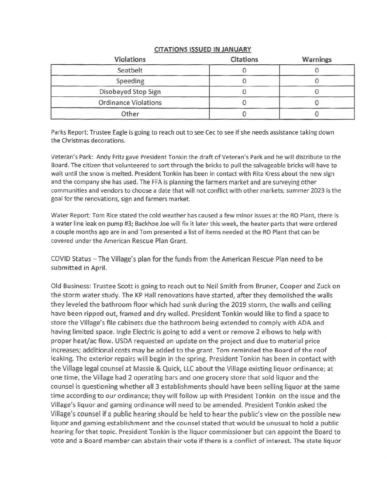| Violations                  | <b>Citations</b> | <b>Warnings</b> |
|-----------------------------|------------------|-----------------|
| Seatbelt                    |                  |                 |
| Speeding                    |                  |                 |
| Disobeyed Stop Sign         |                  |                 |
| <b>Ordinance Violations</b> |                  |                 |
| Other                       |                  |                 |

## **CITATIONS ISSUED IN JANUARY**

Parks Report: Trustee Eagle is going to reach out to see Cec to see if she needs assistance taking down the Christmas decorations.

Veteran's Park: Andy Fritz gave President Tonkin the draft of Veteran's Park and he will distribute to the Board. The citizen that volunteered to sort through the bricks to pull the salvageable bricks will have to wait until the snow is melted. President Tonkin has been in contact with Rita Kress about the new sign and the company she has used. The FFA is planning the farmers market and are surveying other communities and vendors to choose a date that will not conflict with other markets; summer 2023 is the goal for the renovations, sign and farmers market.

Water Report: Tom Rice stated the cold weather has caused a few minor issues at the RO Plant, there is a water line leak on pump #3; Backhoe Joe will fix it later this week, the heater parts that were ordered a couple months ago are in and Tom presented a list of items needed at the RO Plant that can be covered under the American Rescue Plan Grant.

COVID Status -The Village's plan for the funds from the American Rescue Plan need to be submitted in April.

Old Business: Trustee Scott is going to reach out to Neil Smith from Bruner, Cooper and Zuck on the storm water study. The KP Hall renovations have started, after they demolished the walls they leveled the bathroom floor which had sunk during the 2019 storm, the walls and ceiling have been ripped out, framed and dry walled. President Tonkin would like to find a space to store the Village's file cabinets due the bathroom being extended to comply with ADA and having limited space. Ingle Electric is going to add a vent or remove 2 elbows to help with proper heat/ac flow. USDA requested an update on the project and due to material price increases; additional costs may be added to the grant. Tom reminded the Board of the roof leaking. The exterior repairs will begin in the spring. President Tonkin has been in contact with the Village legal counsel at Massie & Quick, LLC about the Village existing liquor ordinance; at one time, the Village had 2 operating bars and one grocery store that sold liquor and the counsel is questioning whether all 3 establishments should have been selling liquor at the same time according to our ordinance; they will follow up with President Tonkin on the issue and the Village's liquor and gaming ordinance will need to be amended. President Tonkin asked the Village's counsel if a public hearing should be held to hear the public's view on the possible new liquor and gaming establishment and the counsel stated that would be unusual to hold a public hearing for that topic. President Tonkin is the liquor commissioner but can appoint the Board to vote and a Board member can abstain their vote if there is a conflict of interest. The state liquor